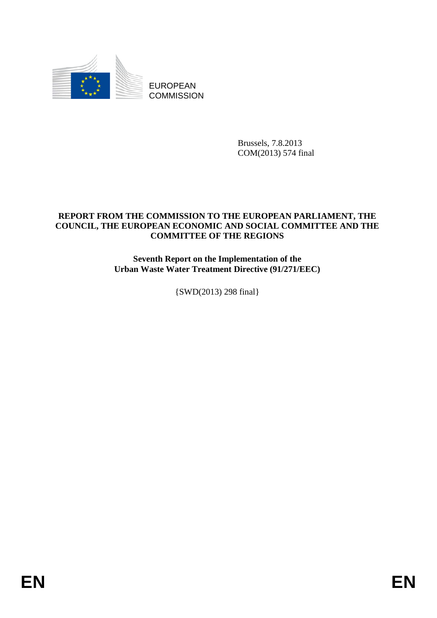

EUROPEAN **COMMISSION** 

> Brussels, 7.8.2013 COM(2013) 574 final

#### **REPORT FROM THE COMMISSION TO THE EUROPEAN PARLIAMENT, THE COUNCIL, THE EUROPEAN ECONOMIC AND SOCIAL COMMITTEE AND THE COMMITTEE OF THE REGIONS**

**Seventh Report on the Implementation of the Urban Waste Water Treatment Directive (91/271/EEC)** 

{SWD(2013) 298 final}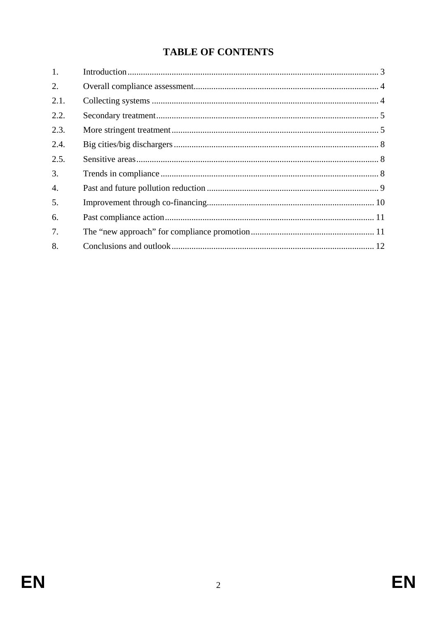# **TABLE OF CONTENTS**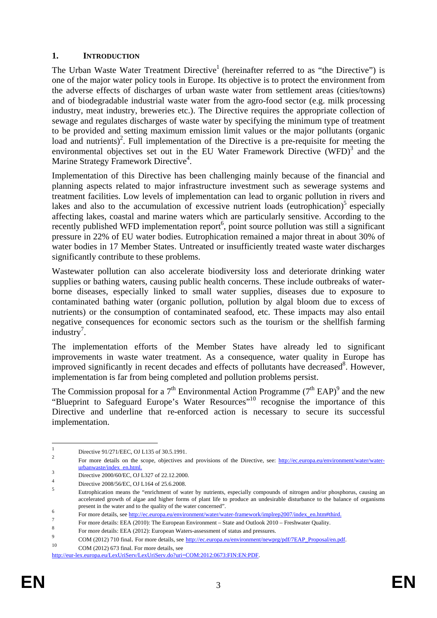#### <span id="page-2-0"></span>**1. INTRODUCTION**

The Urban Waste Water Treatment Directive<sup>1</sup> (hereinafter referred to as "the Directive") is one of the major water policy tools in Europe. Its objective is to protect the environment from the adverse effects of discharges of urban waste water from settlement areas (cities/towns) and of biodegradable industrial waste water from the agro-food sector (e.g. milk processing industry, meat industry, breweries etc.). The Directive requires the appropriate collection of sewage and regulates discharges of waste water by specifying the minimum type of treatment to be provided and setting maximum emission limit values or the major pollutants (organic load and nutrients)<sup>2</sup>. Full implementation of the Directive is a pre-requisite for meeting the environmental objectives set out in the EU Water Framework Directive (WFD)<sup>3</sup> and the Marine Strategy Framework Directive<sup>4</sup>.

Implementation of this Directive has been challenging mainly because of the financial and planning aspects related to major infrastructure investment such as sewerage systems and treatment facilities. Low levels of implementation can lead to organic pollution in rivers and lakes and also to the accumulation of excessive nutrient loads (eutrophication)<sup>5</sup> especially affecting lakes, coastal and marine waters which are particularly sensitive. According to the recently published WFD implementation report<sup>6</sup>, point source pollution was still a significant pressure in 22% of EU water bodies. Eutrophication remained a major threat in about 30% of water bodies in 17 Member States. Untreated or insufficiently treated waste water discharges significantly contribute to these problems.

Wastewater pollution can also accelerate biodiversity loss and deteriorate drinking water supplies or bathing waters, causing public health concerns. These include outbreaks of waterborne diseases, especially linked to small water supplies, diseases due to exposure to contaminated bathing water (organic pollution, pollution by algal bloom due to excess of nutrients) or the consumption of contaminated seafood, etc. These impacts may also entail negative consequences for economic sectors such as the tourism or the shellfish farming  $industry<sup>7</sup>$ .

The implementation efforts of the Member States have already led to significant improvements in waste water treatment. As a consequence, water quality in Europe has improved significantly in recent decades and effects of pollutants have decreased<sup>8</sup>. However, implementation is far from being completed and pollution problems persist.

The Commission proposal for a  $7<sup>th</sup>$  Environmental Action Programme ( $7<sup>th</sup>$  EAP)<sup>9</sup> and the new "Blueprint to Safeguard Europe's Water Resources"10 recognise the importance of this Directive and underline that re-enforced action is necessary to secure its successful implementation.

[http://eur-lex.europa.eu/LexUriServ/LexUriServ.do?uri=COM:2012:0673:FIN:EN:PDF.](http://eur-lex.europa.eu/LexUriServ/LexUriServ.do?uri=COM:2012:0673:FIN:EN:PDF)

 $\frac{1}{1}$ Directive 91/271/EEC, OJ L135 of 30.5.1991.

<sup>2</sup> For more details on the scope, objectives and provisions of the Directive, see: [http://ec.europa.eu/environment/water/water](http://ec.europa.eu/environment/water/water-urbanwaste/index_en.html)[urbanwaste/index\\_en.html.](http://ec.europa.eu/environment/water/water-urbanwaste/index_en.html) <sup>3</sup>

Directive 2000/60/EC, OJ L327 of 22.12.2000. 4

Directive 2008/56/EC, OJ L164 of 25.6.2008. 5

Eutrophication means the "enrichment of water by nutrients, especially compounds of nitrogen and/or phosphorus, causing an accelerated growth of algae and higher forms of plant life to produce an undesirable disturbance to the balance of organisms present in the water and to the quality of the water concerned". 6

For more details, se[e http://ec.europa.eu/environment/water/water-framework/implrep2007/index\\_en.htm#third.](http://ec.europa.eu/environment/water/water-framework/implrep2007/index_en.htm#third)

<sup>7</sup> For more details: EEA (2010): The European Environment – State and Outlook 2010 – Freshwater Quality.

 $^{8}$  For more details: EEA (2012): European Waters-assessment of status and pressures.

 $^{9}$  COM (2012) 710 final. For more details, see [http://ec.europa.eu/environment/newprg/pdf/7EAP\\_Proposal/en.pdf.](http://ec.europa.eu/environment/newprg/pdf/7EAP_Proposal/en.pdf) 10 COM (2012) 673 final. For more details, see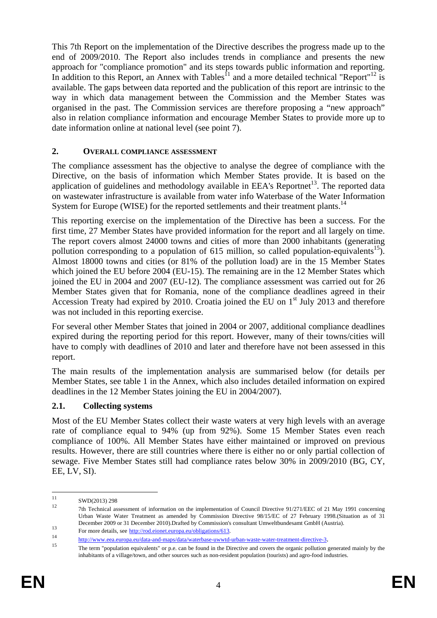This 7th Report on the implementation of the Directive describes the progress made up to the end of 2009/2010. The Report also includes trends in compliance and presents the new approach for "compliance promotion" and its steps towards public information and reporting. In addition to this Report, an Annex with Tables<sup> $11$ </sup> and a more detailed technical "Report"<sup>12</sup> is available. The gaps between data reported and the publication of this report are intrinsic to the way in which data management between the Commission and the Member States was organised in the past. The Commission services are therefore proposing a "new approach" also in relation compliance information and encourage Member States to provide more up to date information online at national level (see point 7).

### <span id="page-3-0"></span>**2. OVERALL COMPLIANCE ASSESSMENT**

The compliance assessment has the objective to analyse the degree of compliance with the Directive, on the basis of information which Member States provide. It is based on the application of guidelines and methodology available in EEA's Reportnet<sup>13</sup>. The reported data on wastewater infrastructure is available from water info Waterbase of the Water Information System for Europe (WISE) for the reported settlements and their treatment plants.<sup>14</sup>

This reporting exercise on the implementation of the Directive has been a success. For the first time, 27 Member States have provided information for the report and all largely on time. The report covers almost 24000 towns and cities of more than 2000 inhabitants (generating pollution corresponding to a population of 615 million, so called population-equivalents<sup>15</sup>). Almost 18000 towns and cities (or 81% of the pollution load) are in the 15 Member States which joined the EU before 2004 (EU-15). The remaining are in the 12 Member States which joined the EU in 2004 and 2007 (EU-12). The compliance assessment was carried out for 26 Member States given that for Romania, none of the compliance deadlines agreed in their Accession Treaty had expired by 2010. Croatia joined the EU on  $1<sup>st</sup>$  July 2013 and therefore was not included in this reporting exercise.

For several other Member States that joined in 2004 or 2007, additional compliance deadlines expired during the reporting period for this report. However, many of their towns/cities will have to comply with deadlines of 2010 and later and therefore have not been assessed in this report.

The main results of the implementation analysis are summarised below (for details per Member States, see table 1 in the Annex, which also includes detailed information on expired deadlines in the 12 Member States joining the EU in 2004/2007).

# <span id="page-3-1"></span>**2.1. Collecting systems**

Most of the EU Member States collect their waste waters at very high levels with an average rate of compliance equal to 94% (up from 92%). Some 15 Member States even reach compliance of 100%. All Member States have either maintained or improved on previous results. However, there are still countries where there is either no or only partial collection of sewage. Five Member States still had compliance rates below 30% in 2009/2010 (BG, CY, EE, LV, SI).

<sup>11</sup>  $\frac{11}{12}$  SWD(2013) 298

<sup>12 7</sup>th Technical assessment of information on the implementation of Council Directive 91/271/EEC of 21 May 1991 concerning Urban Waste Water Treatment as amended by Commission Directive 98/15/EC of 27 February 1998.(Situation as of 31 December 2009 or 3[1 December 2010\).Drafted by Commission](http://rod.eionet.europa.eu/obligations/613)'[s](http://rod.eionet.europa.eu/obligations/613) consultant Umweltbundesamt GmbH (Austria).<br>
For more details, see <u>http://rod.eionet.europa.eu/obligations/613</u>.

 $\frac{http://www.eea.europa.eu/data-and-maps/data/waterbase-unwurd-urban-waste-water-treatment-directive-3}{\frac{http://www.eea.europa.eu/data-and-maps/data/waterbase-unwurd-urban-waste-water-treatment-directive-3}{\frac{http://www.eea.europa.eu/data-and-maps/data/waterbase-unwurd-urban-waste-water-treatment-directive-3}}$ inhabitants of a village/town, and other sources such as non-resident population (tourists) and agro-food industries.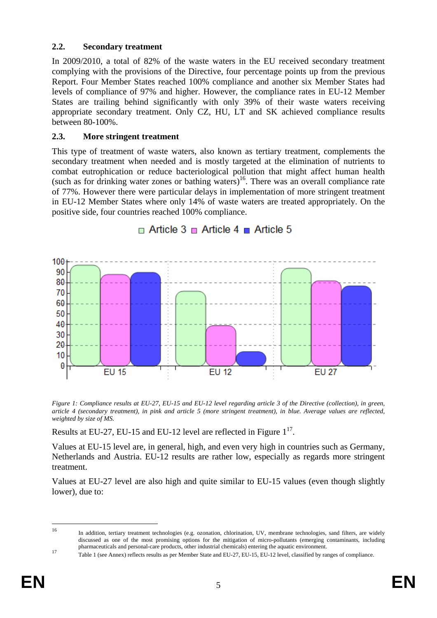### <span id="page-4-0"></span>**2.2. Secondary treatment**

In 2009/2010, a total of 82% of the waste waters in the EU received secondary treatment complying with the provisions of the Directive, four percentage points up from the previous Report. Four Member States reached 100% compliance and another six Member States had levels of compliance of 97% and higher. However, the compliance rates in EU-12 Member States are trailing behind significantly with only 39% of their waste waters receiving appropriate secondary treatment. Only CZ, HU, LT and SK achieved compliance results between 80-100%.

# <span id="page-4-1"></span>**2.3. More stringent treatment**

This type of treatment of waste waters, also known as tertiary treatment, complements the secondary treatment when needed and is mostly targeted at the elimination of nutrients to combat eutrophication or reduce bacteriological pollution that might affect human health (such as for drinking water zones or bathing waters)<sup>16</sup>. There was an overall compliance rate of 77%. However there were particular delays in implementation of more stringent treatment in EU-12 Member States where only 14% of waste waters are treated appropriately. On the positive side, four countries reached 100% compliance.



# $\Box$  Article 3  $\Box$  Article 4  $\Box$  Article 5

*Figure 1: Compliance results at EU-27, EU-15 and EU-12 level regarding article 3 of the Directive (collection), in green, article 4 (secondary treatment), in pink and article 5 (more stringent treatment), in blue. Average values are reflected, weighted by size of MS.* 

Results at EU-27, EU-15 and EU-12 level are reflected in Figure  $1^{17}$ .

Values at EU-15 level are, in general, high, and even very high in countries such as Germany, Netherlands and Austria. EU-12 results are rather low, especially as regards more stringent treatment.

Values at EU-27 level are also high and quite similar to EU-15 values (even though slightly lower), due to:

 $16$ 16 In addition, tertiary treatment technologies (e.g. ozonation, chlorination, UV, membrane technologies, sand filters, are widely discussed as one of the most promising options for the mitigation of micro-pollutants (emerging contaminants, including

pharmaceuticals and personal-care products, other industrial chemicals) entering the aquatic environment.<br>Table 1 (see Annex) reflects results as per Member State and EU-27, EU-15, EU-12 level, classified by ranges of comp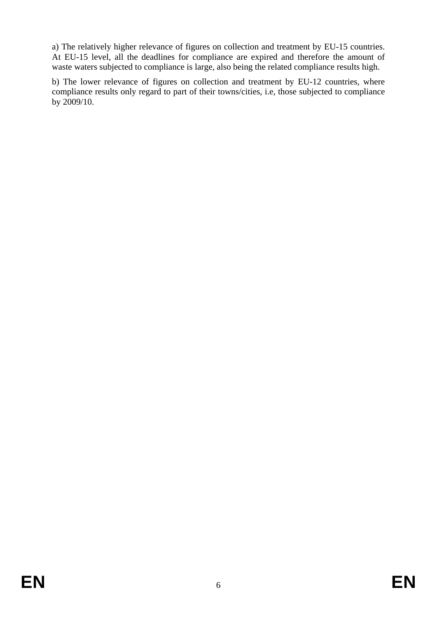a) The relatively higher relevance of figures on collection and treatment by EU-15 countries. At EU-15 level, all the deadlines for compliance are expired and therefore the amount of waste waters subjected to compliance is large, also being the related compliance results high.

b) The lower relevance of figures on collection and treatment by EU-12 countries, where compliance results only regard to part of their towns/cities, i.e, those subjected to compliance by 2009/10.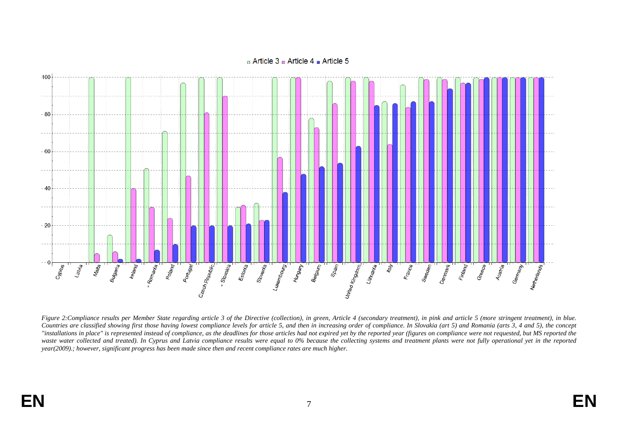#### $\alpha$  Article 3  $\alpha$  Article 4  $\alpha$  Article 5



*Figure 2:Compliance results per Member State regarding article 3 of the Directive (collection), in green, Article 4 (secondary treatment), in pink and article 5 (more stringent treatment), in blue.*  Countries are classified showing first those having lowest compliance levels for article 5, and then in increasing order of compliance. In Slovakia (art 5) and Romania (arts 3, 4 and 5), the concept *"installations in place" is represented instead of compliance, as the deadlines for those articles had not expired yet by the reported year (figures on compliance were not requested, but MS reported the*  waste water collected and treated). In Cyprus and Latvia compliance results were equal to 0% because the collecting systems and treatment plants were not fully operational yet in the reported *year(2009).; however, significant progress has been made since then and recent compliance rates are much higher.*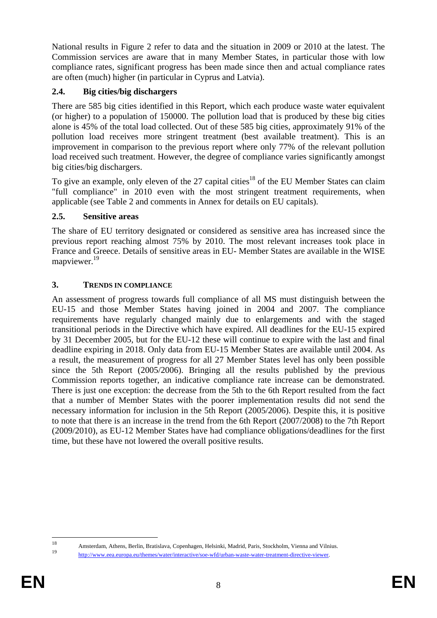National results in Figure 2 refer to data and the situation in 2009 or 2010 at the latest. The Commission services are aware that in many Member States, in particular those with low compliance rates, significant progress has been made since then and actual compliance rates are often (much) higher (in particular in Cyprus and Latvia).

# <span id="page-7-0"></span>**2.4. Big cities/big dischargers**

There are 585 big cities identified in this Report, which each produce waste water equivalent (or higher) to a population of 150000. The pollution load that is produced by these big cities alone is 45% of the total load collected. Out of these 585 big cities, approximately 91% of the pollution load receives more stringent treatment (best available treatment). This is an improvement in comparison to the previous report where only 77% of the relevant pollution load received such treatment. However, the degree of compliance varies significantly amongst big cities/big dischargers.

To give an example, only eleven of the  $27$  capital cities<sup>18</sup> of the EU Member States can claim "full compliance" in 2010 even with the most stringent treatment requirements, when applicable (see Table 2 and comments in Annex for details on EU capitals).

# <span id="page-7-1"></span>**2.5. Sensitive areas**

The share of EU territory designated or considered as sensitive area has increased since the previous report reaching almost 75% by 2010. The most relevant increases took place in France and Greece. Details of sensitive areas in EU- Member States are available in the WISE mapviewer.<sup>19</sup>

# <span id="page-7-2"></span>**3. TRENDS IN COMPLIANCE**

An assessment of progress towards full compliance of all MS must distinguish between the EU-15 and those Member States having joined in 2004 and 2007. The compliance requirements have regularly changed mainly due to enlargements and with the staged transitional periods in the Directive which have expired. All deadlines for the EU-15 expired by 31 December 2005, but for the EU-12 these will continue to expire with the last and final deadline expiring in 2018. Only data from EU-15 Member States are available until 2004. As a result, the measurement of progress for all 27 Member States level has only been possible since the 5th Report (2005/2006). Bringing all the results published by the previous Commission reports together, an indicative compliance rate increase can be demonstrated. There is just one exception: the decrease from the 5th to the 6th Report resulted from the fact that a number of Member States with the poorer implementation results did not send the necessary information for inclusion in the 5th Report (2005/2006). Despite this, it is positive to note that there is an increase in the trend from the 6th Report (2007/2008) to the 7th Report (2009/2010), as EU-12 Member States have had compliance obligations/deadlines for the first time, but these have not lowered the overall positive results.

 $18$ 18 Amsterdam, Athens, Berlin, Bratislava, Copenhagen, Helsinki, Madrid, Paris, Stockholm, Vienna and Vilnius.

<sup>19</sup> [http://www.eea.europa.eu/themes/water/interactive/soe-wfd/urban-waste-water-treatment-directive-viewer.](http://www.eea.europa.eu/themes/water/interactive/soe-wfd/urban-waste-water-treatment-directive-viewer)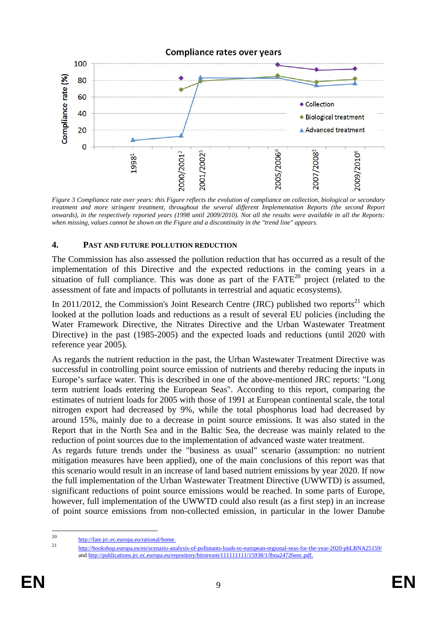

*Figure 3 Compliance rate over years: this Figure reflects the evolution of compliance on collection, biological or secondary treatment and more stringent treatment, throughout the several different Implementation Reports (the second Report onwards), in the respectively reported years (1998 until 2009/2010). Not all the results were available in all the Reports: when missing, values cannot be shown on the Figure and a discontinuity in the "trend line" appears.* 

#### <span id="page-8-0"></span>**4. PAST AND FUTURE POLLUTION REDUCTION**

The Commission has also assessed the pollution reduction that has occurred as a result of the implementation of this Directive and the expected reductions in the coming years in a situation of full compliance. This was done as part of the  $FATE^{20}$  project (related to the assessment of fate and impacts of pollutants in terrestrial and aquatic ecosystems).

In 2011/2012, the Commission's Joint Research Centre (JRC) published two reports<sup>21</sup> which looked at the pollution loads and reductions as a result of several EU policies (including the Water Framework Directive, the Nitrates Directive and the Urban Wastewater Treatment Directive) in the past (1985-2005) and the expected loads and reductions (until 2020 with reference year 2005).

As regards the nutrient reduction in the past, the Urban Wastewater Treatment Directive was successful in controlling point source emission of nutrients and thereby reducing the inputs in Europe's surface water. This is described in one of the above-mentioned JRC reports: "Long term nutrient loads entering the European Seas". According to this report, comparing the estimates of nutrient loads for 2005 with those of 1991 at European continental scale, the total nitrogen export had decreased by 9%, while the total phosphorus load had decreased by around 15%, mainly due to a decrease in point source emissions. It was also stated in the Report that in the North Sea and in the Baltic Sea, the decrease was mainly related to the reduction of point sources due to the implementation of advanced waste water treatment.

As regards future trends under the "business as usual" scenario (assumption: no nutrient mitigation measures have been applied), one of the main conclusions of this report was that this scenario would result in an increase of land based nutrient emissions by year 2020. If now the full implementation of the Urban Wastewater Treatment Directive (UWWTD) is assumed, significant reductions of point source emissions would be reached. In some parts of Europe, however, full implementation of the UWWTD could also result (as a first step) in an increase of point source emissions from non-collected emission, in particular in the lower Danube

 $20$ <sup>20</sup> [http://fate.jrc.ec.europa.eu/rational/home.](http://fate.jrc.ec.europa.eu/rational/home)

<sup>21</sup> <http://bookshop.europa.eu/en/scenario-analysis-of-pollutants-loads-to-european-regional-seas-for-the-year-2020-pbLBNA25159/> [and http://publications.jrc.ec.europa.eu/repository/bitstream/111111111/15938/1/lbna24726enc.pdf.](http://publications.jrc.ec.europa.eu/repository/bitstream/111111111/15938/1/lbna24726enc.pdf)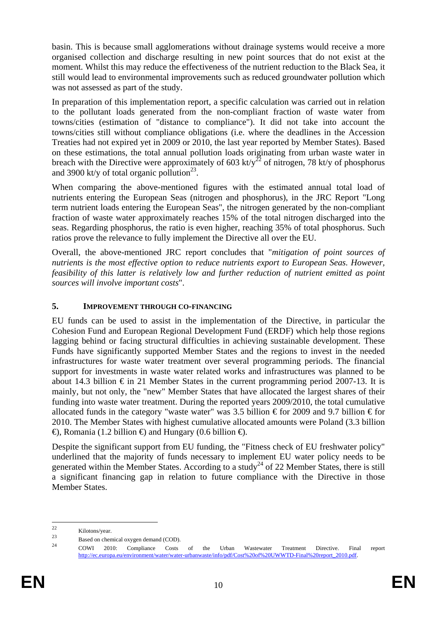basin. This is because small agglomerations without drainage systems would receive a more organised collection and discharge resulting in new point sources that do not exist at the moment. Whilst this may reduce the effectiveness of the nutrient reduction to the Black Sea, it still would lead to environmental improvements such as reduced groundwater pollution which was not assessed as part of the study.

In preparation of this implementation report, a specific calculation was carried out in relation to the pollutant loads generated from the non-compliant fraction of waste water from towns/cities (estimation of "distance to compliance"). It did not take into account the towns/cities still without compliance obligations (i.e. where the deadlines in the Accession Treaties had not expired yet in 2009 or 2010, the last year reported by Member States). Based on these estimations, the total annual pollution loads originating from urban waste water in breach with the Directive were approximately of  $\frac{1}{2}$  of nitrogen, 78 kt/y of phosphorus and 3900 kt/y of total organic pollution<sup>23</sup>.

When comparing the above-mentioned figures with the estimated annual total load of nutrients entering the European Seas (nitrogen and phosphorus), in the JRC Report "Long term nutrient loads entering the European Seas", the nitrogen generated by the non-compliant fraction of waste water approximately reaches 15% of the total nitrogen discharged into the seas. Regarding phosphorus, the ratio is even higher, reaching 35% of total phosphorus. Such ratios prove the relevance to fully implement the Directive all over the EU.

Overall, the above-mentioned JRC report concludes that "*mitigation of point sources of nutrients is the most effective option to reduce nutrients export to European Seas. However, feasibility of this latter is relatively low and further reduction of nutrient emitted as point sources will involve important costs*".

# <span id="page-9-0"></span>**5. IMPROVEMENT THROUGH CO-FINANCING**

EU funds can be used to assist in the implementation of the Directive, in particular the Cohesion Fund and European Regional Development Fund (ERDF) which help those regions lagging behind or facing structural difficulties in achieving sustainable development. These Funds have significantly supported Member States and the regions to invest in the needed infrastructures for waste water treatment over several programming periods. The financial support for investments in waste water related works and infrastructures was planned to be about 14.3 billion  $€$  in 21 Member States in the current programming period 2007-13. It is mainly, but not only, the "new" Member States that have allocated the largest shares of their funding into waste water treatment. During the reported years 2009/2010, the total cumulative allocated funds in the category "waste water" was 3.5 billion  $\epsilon$  for 2009 and 9.7 billion  $\epsilon$  for 2010. The Member States with highest cumulative allocated amounts were Poland (3.3 billion  $\Theta$ , Romania (1.2 billion  $\Theta$  and Hungary (0.6 billion  $\Theta$ ).

Despite the significant support from EU funding, the "Fitness check of EU freshwater policy" underlined that the majority of funds necessary to implement EU water policy needs to be generated within the Member States. According to a study<sup>24</sup> of 22 Member States, there is still a significant financing gap in relation to future compliance with the Directive in those Member States.

 $\mathfrak{D}$ 

<sup>22</sup> Kilotons/year. 23 Based on chemical oxygen demand (COD). 24 COWI 2010: Compliance Costs of the Urban Wastewater Treatment Directive. Final report [http://ec.europa.eu/environment/water/water-urbanwaste/info/pdf/Cost%20of%20UWWTD-Final%20report\\_2010.pdf.](http://ec.europa.eu/environment/water/water-urbanwaste/info/pdf/Cost of UWWTD-Final report_2010.pdf)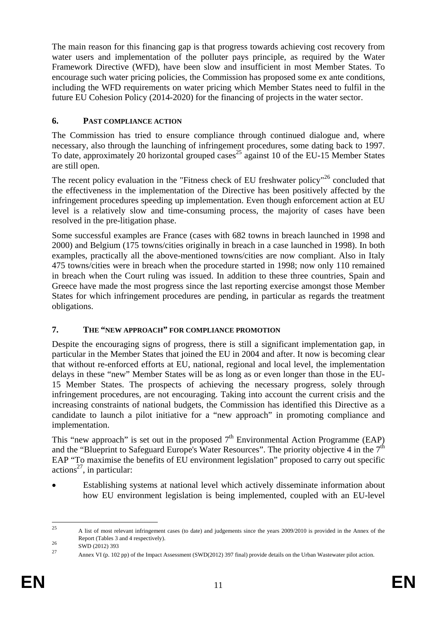The main reason for this financing gap is that progress towards achieving cost recovery from water users and implementation of the polluter pays principle, as required by the Water Framework Directive (WFD), have been slow and insufficient in most Member States. To encourage such water pricing policies, the Commission has proposed some ex ante conditions, including the WFD requirements on water pricing which Member States need to fulfil in the future EU Cohesion Policy (2014-2020) for the financing of projects in the water sector.

# <span id="page-10-0"></span>**6. PAST COMPLIANCE ACTION**

The Commission has tried to ensure compliance through continued dialogue and, where necessary, also through the launching of infringement procedures, some dating back to 1997. To date, approximately 20 horizontal grouped cases<sup>25</sup> against 10 of the EU-15 Member States are still open.

The recent policy evaluation in the "Fitness check of EU freshwater policy"<sup>26</sup> concluded that the effectiveness in the implementation of the Directive has been positively affected by the infringement procedures speeding up implementation. Even though enforcement action at EU level is a relatively slow and time-consuming process, the majority of cases have been resolved in the pre-litigation phase.

Some successful examples are France (cases with 682 towns in breach launched in 1998 and 2000) and Belgium (175 towns/cities originally in breach in a case launched in 1998). In both examples, practically all the above-mentioned towns/cities are now compliant. Also in Italy 475 towns/cities were in breach when the procedure started in 1998; now only 110 remained in breach when the Court ruling was issued. In addition to these three countries, Spain and Greece have made the most progress since the last reporting exercise amongst those Member States for which infringement procedures are pending, in particular as regards the treatment obligations.

# <span id="page-10-1"></span>**7. THE "NEW APPROACH" FOR COMPLIANCE PROMOTION**

Despite the encouraging signs of progress, there is still a significant implementation gap, in particular in the Member States that joined the EU in 2004 and after. It now is becoming clear that without re-enforced efforts at EU, national, regional and local level, the implementation delays in these "new" Member States will be as long as or even longer than those in the EU-15 Member States. The prospects of achieving the necessary progress, solely through infringement procedures, are not encouraging. Taking into account the current crisis and the increasing constraints of national budgets, the Commission has identified this Directive as a candidate to launch a pilot initiative for a "new approach" in promoting compliance and implementation.

This "new approach" is set out in the proposed  $7<sup>th</sup>$  Environmental Action Programme (EAP) and the "Blueprint to Safeguard Europe's Water Resources". The priority objective 4 in the  $7<sup>th</sup>$ EAP "To maximise the benefits of EU environment legislation" proposed to carry out specific actions<sup>27</sup>, in particular:

• Establishing systems at national level which actively disseminate information about how EU environment legislation is being implemented, coupled with an EU-level

 $25$ 25 A list of most relevant infringement cases (to date) and judgements since the years 2009/2010 is provided in the Annex of the Report (Tables 3 and 4 respectively).<br>
SWD (2012) 393<br>
27

<sup>27</sup> Annex VI (p. 102 pp) of the Impact Assessment (SWD(2012) 397 final) provide details on the Urban Wastewater pilot action.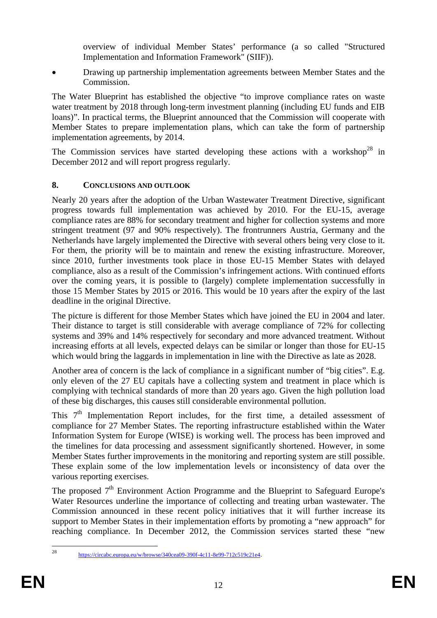overview of individual Member States' performance (a so called "Structured Implementation and Information Framework" (SIIF)).

• Drawing up partnership implementation agreements between Member States and the Commission.

The Water Blueprint has established the objective "to improve compliance rates on waste water treatment by 2018 through long-term investment planning (including EU funds and EIB loans)". In practical terms, the Blueprint announced that the Commission will cooperate with Member States to prepare implementation plans, which can take the form of partnership implementation agreements, by 2014.

The Commission services have started developing these actions with a workshop<sup>28</sup> in December 2012 and will report progress regularly.

# <span id="page-11-0"></span>**8. CONCLUSIONS AND OUTLOOK**

Nearly 20 years after the adoption of the Urban Wastewater Treatment Directive, significant progress towards full implementation was achieved by 2010. For the EU-15, average compliance rates are 88% for secondary treatment and higher for collection systems and more stringent treatment (97 and 90% respectively). The frontrunners Austria, Germany and the Netherlands have largely implemented the Directive with several others being very close to it. For them, the priority will be to maintain and renew the existing infrastructure. Moreover, since 2010, further investments took place in those EU-15 Member States with delayed compliance, also as a result of the Commission's infringement actions. With continued efforts over the coming years, it is possible to (largely) complete implementation successfully in those 15 Member States by 2015 or 2016. This would be 10 years after the expiry of the last deadline in the original Directive.

The picture is different for those Member States which have joined the EU in 2004 and later. Their distance to target is still considerable with average compliance of 72% for collecting systems and 39% and 14% respectively for secondary and more advanced treatment. Without increasing efforts at all levels, expected delays can be similar or longer than those for EU-15 which would bring the laggards in implementation in line with the Directive as late as 2028.

Another area of concern is the lack of compliance in a significant number of "big cities". E.g. only eleven of the 27 EU capitals have a collecting system and treatment in place which is complying with technical standards of more than 20 years ago. Given the high pollution load of these big discharges, this causes still considerable environmental pollution.

This  $7<sup>th</sup>$  Implementation Report includes, for the first time, a detailed assessment of compliance for 27 Member States. The reporting infrastructure established within the Water Information System for Europe (WISE) is working well. The process has been improved and the timelines for data processing and assessment significantly shortened. However, in some Member States further improvements in the monitoring and reporting system are still possible. These explain some of the low implementation levels or inconsistency of data over the various reporting exercises.

The proposed  $7<sup>th</sup>$  Environment Action Programme and the Blueprint to Safeguard Europe's Water Resources underline the importance of collecting and treating urban wastewater. The Commission announced in these recent policy initiatives that it will further increase its support to Member States in their implementation efforts by promoting a "new approach" for reaching compliance. In December 2012, the Commission services started these "new

<sup>28</sup> 

[https://circabc.europa.eu/w/browse/340cea09-390f-4c11-8e99-712c519c21e4.](https://circabc.europa.eu/w/browse/340cea09-390f-4c11-8e99-712c519c21e4)